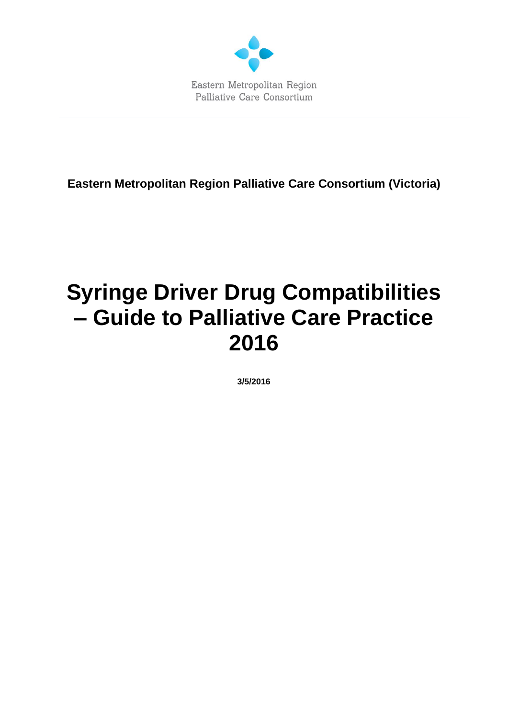

**Eastern Metropolitan Region Palliative Care Consortium (Victoria)**

# **Syringe Driver Drug Compatibilities – Guide to Palliative Care Practice 2016**

**3/5/2016**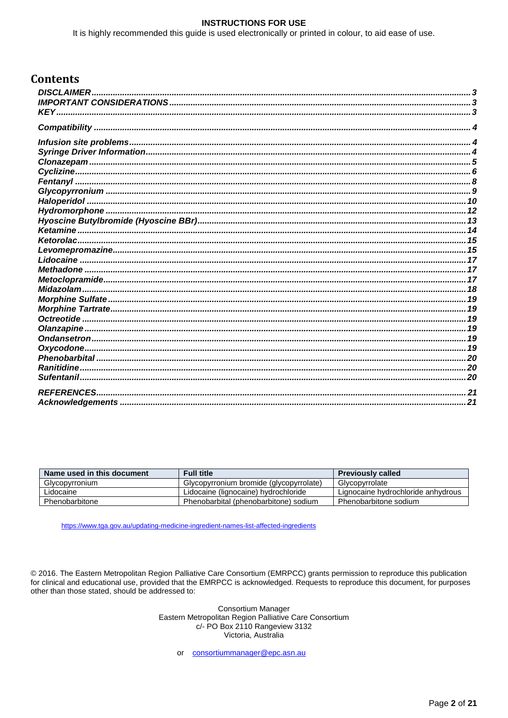#### **INSTRUCTIONS FOR USE**

It is highly recommended this guide is used electronically or printed in colour, to aid ease of use.

#### **Contents**

| .21 |
|-----|
|     |

| Name used in this document | <b>Full title</b>                       | <b>Previously called</b>           |
|----------------------------|-----------------------------------------|------------------------------------|
| Glycopyrronium             | Glycopyrronium bromide (glycopyrrolate) | Glycopyrrolate                     |
| Lidocaine                  | Lidocaine (lignocaine) hydrochloride    | Lignocaine hydrochloride anhydrous |
| Phenobarbitone             | Phenobarbital (phenobarbitone) sodium   | Phenobarbitone sodium              |

https://www.tga.gov.au/updating-medicine-ingredient-names-list-affected-ingredients

© 2016. The Eastern Metropolitan Region Palliative Care Consortium (EMRPCC) grants permission to reproduce this publication for clinical and educational use, provided that the EMRPCC is acknowledged. Requests to reproduce this document, for purposes other than those stated, should be addressed to:

> Consortium Manager Eastern Metropolitan Region Palliative Care Consortium c/- PO Box 2110 Rangeview 3132 Victoria, Australia

consortiummanager@epc.asn.au  $or$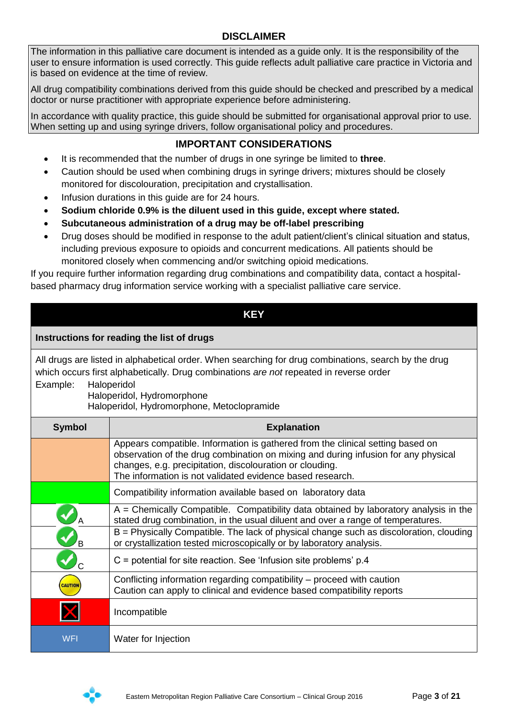#### **DISCLAIMER**

<span id="page-2-0"></span>The information in this palliative care document is intended as a guide only. It is the responsibility of the user to ensure information is used correctly. This guide reflects adult palliative care practice in Victoria and is based on evidence at the time of review.

All drug compatibility combinations derived from this guide should be checked and prescribed by a medical doctor or nurse practitioner with appropriate experience before administering.

<span id="page-2-1"></span>In accordance with quality practice, this guide should be submitted for organisational approval prior to use. When setting up and using syringe drivers, follow organisational policy and procedures.

# **IMPORTANT CONSIDERATIONS**

- It is recommended that the number of drugs in one syringe be limited to **three**.
- Caution should be used when combining drugs in syringe drivers; mixtures should be closely monitored for discolouration, precipitation and crystallisation.
- Infusion durations in this guide are for 24 hours.
- **Sodium chloride 0.9% is the diluent used in this guide, except where stated.**
- **Subcutaneous administration of a drug may be off-label prescribing**
- Drug doses should be modified in response to the adult patient/client's clinical situation and status, including previous exposure to opioids and concurrent medications. All patients should be monitored closely when commencing and/or switching opioid medications.

If you require further information regarding drug combinations and compatibility data, contact a hospitalbased pharmacy drug information service working with a specialist palliative care service.

<span id="page-2-2"></span>

|                | <b>KEY</b>                                                                                                                                                                                                                                                                                                                                  |
|----------------|---------------------------------------------------------------------------------------------------------------------------------------------------------------------------------------------------------------------------------------------------------------------------------------------------------------------------------------------|
|                | Instructions for reading the list of drugs                                                                                                                                                                                                                                                                                                  |
| Example:       | All drugs are listed in alphabetical order. When searching for drug combinations, search by the drug<br>which occurs first alphabetically. Drug combinations are not repeated in reverse order<br>Haloperidol<br>Haloperidol, Hydromorphone<br>Haloperidol, Hydromorphone, Metoclopramide                                                   |
| <b>Symbol</b>  | <b>Explanation</b>                                                                                                                                                                                                                                                                                                                          |
|                | Appears compatible. Information is gathered from the clinical setting based on<br>observation of the drug combination on mixing and during infusion for any physical<br>changes, e.g. precipitation, discolouration or clouding.<br>The information is not validated evidence based research.                                               |
|                | Compatibility information available based on laboratory data                                                                                                                                                                                                                                                                                |
|                | $A =$ Chemically Compatible. Compatibility data obtained by laboratory analysis in the<br>stated drug combination, in the usual diluent and over a range of temperatures.<br>B = Physically Compatible. The lack of physical change such as discoloration, clouding<br>or crystallization tested microscopically or by laboratory analysis. |
|                | $C =$ potential for site reaction. See 'Infusion site problems' p.4                                                                                                                                                                                                                                                                         |
| <b>CAUTION</b> | Conflicting information regarding compatibility – proceed with caution<br>Caution can apply to clinical and evidence based compatibility reports                                                                                                                                                                                            |
|                | Incompatible                                                                                                                                                                                                                                                                                                                                |
| <b>WFI</b>     | Water for Injection                                                                                                                                                                                                                                                                                                                         |

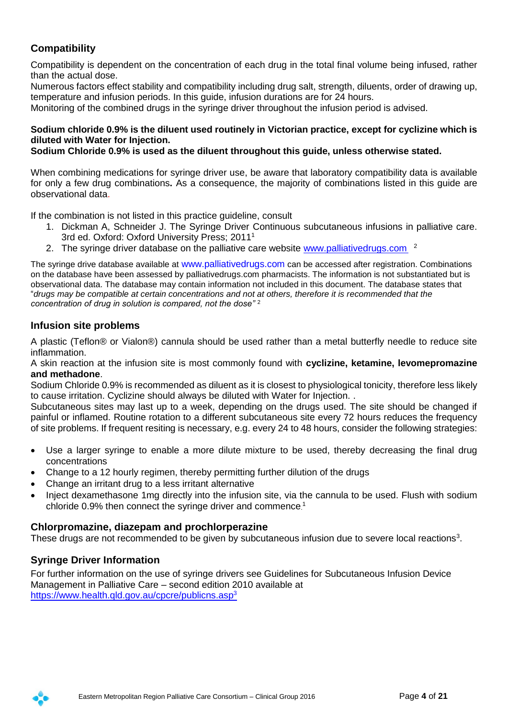# <span id="page-3-0"></span>**Compatibility**

Compatibility is dependent on the concentration of each drug in the total final volume being infused, rather than the actual dose.

Numerous factors effect stability and compatibility including drug salt, strength, diluents, order of drawing up, temperature and infusion periods. In this guide, infusion durations are for 24 hours.

Monitoring of the combined drugs in the syringe driver throughout the infusion period is advised.

#### **Sodium chloride 0.9% is the diluent used routinely in Victorian practice, except for cyclizine which is diluted with Water for Injection.**

**Sodium Chloride 0.9% is used as the diluent throughout this guide, unless otherwise stated.**

When combining medications for syringe driver use, be aware that laboratory compatibility data is available for only a few drug combinations**.** As a consequence, the majority of combinations listed in this guide are observational data.

If the combination is not listed in this practice guideline, consult

- 1. Dickman A, Schneider J. The Syringe Driver Continuous subcutaneous infusions in palliative care. 3rd ed. Oxford: Oxford University Press; 2011<sup>1</sup>
- 2. The syringe driver database on the palliative care website [www.palliativedrugs.com](http://www.palliativedrugs.com/) <sup>2</sup>

The syringe drive database available at [www.palliativedrugs.com](http://www.palliativedrugs.com/) can be accessed after registration. Combinations on the database have been assessed by palliativedrugs.com pharmacists. The information is not substantiated but is observational data. The database may contain information not included in this document. The database states that "*drugs may be compatible at certain concentrations and not at others, therefore it is recommended that the concentration of drug in solution is compared, not the dose"* <sup>2</sup>

#### <span id="page-3-1"></span>**Infusion site problems**

A plastic (Teflon® or Vialon®) cannula should be used rather than a metal butterfly needle to reduce site inflammation.

A skin reaction at the infusion site is most commonly found with **cyclizine, ketamine, levomepromazine and methadone**.

Sodium Chloride 0.9% is recommended as diluent as it is closest to physiological tonicity, therefore less likely to cause irritation. Cyclizine should always be diluted with Water for Injection. .

Subcutaneous sites may last up to a week, depending on the drugs used. The site should be changed if painful or inflamed. Routine rotation to a different subcutaneous site every 72 hours reduces the frequency of site problems. If frequent resiting is necessary, e.g. every 24 to 48 hours, consider the following strategies:

- Use a larger syringe to enable a more dilute mixture to be used, thereby decreasing the final drug concentrations
- Change to a 12 hourly regimen, thereby permitting further dilution of the drugs
- Change an irritant drug to a less irritant alternative
- Inject dexamethasone 1mg directly into the infusion site, via the cannula to be used. Flush with sodium chloride 0.9% then connect the syringe driver and commence. 1

#### **Chlorpromazine, diazepam and prochlorperazine**

These drugs are not recommended to be given by subcutaneous infusion due to severe local reactions<sup>3</sup>.

#### <span id="page-3-2"></span>**Syringe Driver Information**

For further information on the use of syringe drivers see Guidelines for Subcutaneous Infusion Device Management in Palliative Care – second edition 2010 available at <https://www.health.qld.gov.au/cpcre/publicns.asp><sup>3</sup>

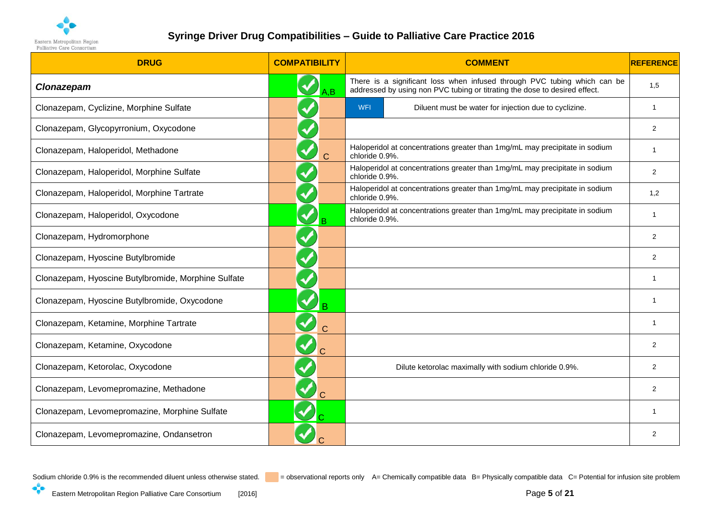

| <b>DRUG</b>                                         | <b>COMPATIBILITY</b>                   | <b>COMMENT</b>                                                                                                                                         | <b>REFERENCE</b> |
|-----------------------------------------------------|----------------------------------------|--------------------------------------------------------------------------------------------------------------------------------------------------------|------------------|
| Clonazepam                                          | A.B                                    | There is a significant loss when infused through PVC tubing which can be<br>addressed by using non PVC tubing or titrating the dose to desired effect. | 1,5              |
| Clonazepam, Cyclizine, Morphine Sulfate             |                                        | WFI<br>Diluent must be water for injection due to cyclizine.                                                                                           | $\mathbf{1}$     |
| Clonazepam, Glycopyrronium, Oxycodone               |                                        |                                                                                                                                                        | $\overline{2}$   |
| Clonazepam, Haloperidol, Methadone                  | $\overline{C}$                         | Haloperidol at concentrations greater than 1mg/mL may precipitate in sodium<br>chloride 0.9%.                                                          | $\mathbf{1}$     |
| Clonazepam, Haloperidol, Morphine Sulfate           |                                        | Haloperidol at concentrations greater than 1mg/mL may precipitate in sodium<br>chloride 0.9%.                                                          | $\overline{2}$   |
| Clonazepam, Haloperidol, Morphine Tartrate          |                                        | Haloperidol at concentrations greater than 1mg/mL may precipitate in sodium<br>chloride 0.9%.                                                          | 1,2              |
| Clonazepam, Haloperidol, Oxycodone                  |                                        | Haloperidol at concentrations greater than 1mg/mL may precipitate in sodium<br>chloride 0.9%.                                                          | -1               |
| Clonazepam, Hydromorphone                           |                                        |                                                                                                                                                        | $\overline{2}$   |
| Clonazepam, Hyoscine Butylbromide                   |                                        |                                                                                                                                                        | $\overline{2}$   |
| Clonazepam, Hyoscine Butylbromide, Morphine Sulfate |                                        |                                                                                                                                                        | -1               |
| Clonazepam, Hyoscine Butylbromide, Oxycodone        |                                        |                                                                                                                                                        |                  |
| Clonazepam, Ketamine, Morphine Tartrate             | $\blacktriangledown$<br>$\overline{C}$ |                                                                                                                                                        | $\mathbf 1$      |
| Clonazepam, Ketamine, Oxycodone                     | $\blacktriangledown$                   |                                                                                                                                                        | $\overline{2}$   |
| Clonazepam, Ketorolac, Oxycodone                    |                                        | Dilute ketorolac maximally with sodium chloride 0.9%.                                                                                                  | $\overline{2}$   |
| Clonazepam, Levomepromazine, Methadone              |                                        |                                                                                                                                                        | $\overline{2}$   |
| Clonazepam, Levomepromazine, Morphine Sulfate       |                                        |                                                                                                                                                        | -1               |
| Clonazepam, Levomepromazine, Ondansetron            |                                        |                                                                                                                                                        | 2                |

<span id="page-4-0"></span>

 $\cdot$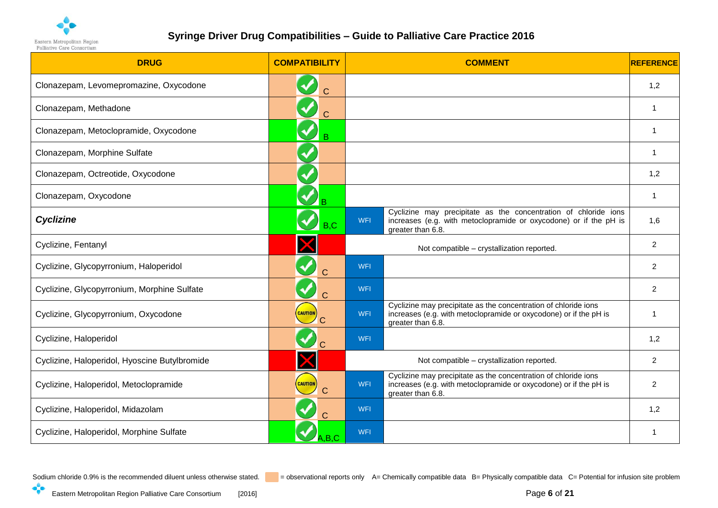

| <b>DRUG</b>                                   | <b>COMPATIBILITY</b>   | <b>COMMENT</b>                                                                                                                                                          | <b>REFERENCE</b> |
|-----------------------------------------------|------------------------|-------------------------------------------------------------------------------------------------------------------------------------------------------------------------|------------------|
| Clonazepam, Levomepromazine, Oxycodone        | $\blacklozenge$<br>Ć   |                                                                                                                                                                         | 1,2              |
| Clonazepam, Methadone                         | $\overline{C}$         |                                                                                                                                                                         | $\overline{1}$   |
| Clonazepam, Metoclopramide, Oxycodone         | V<br>B                 |                                                                                                                                                                         | -1               |
| Clonazepam, Morphine Sulfate                  | $\blacktriangledown$   |                                                                                                                                                                         | -1               |
| Clonazepam, Octreotide, Oxycodone             | $\blacklozenge$        |                                                                                                                                                                         | 1,2              |
| Clonazepam, Oxycodone                         |                        |                                                                                                                                                                         | $\overline{1}$   |
| <b>Cyclizine</b>                              | $\blacklozenge$<br>B.C | Cyclizine may precipitate as the concentration of chloride ions<br>WFI<br>increases (e.g. with metoclopramide or oxycodone) or if the pH is<br>greater than 6.8.        | 1,6              |
| Cyclizine, Fentanyl                           |                        | Not compatible - crystallization reported.                                                                                                                              | $\overline{c}$   |
| Cyclizine, Glycopyrronium, Haloperidol        | $\mathcal{C}$          | WFI                                                                                                                                                                     | 2                |
| Cyclizine, Glycopyrronium, Morphine Sulfate   | $\blacktriangledown$   | <b>WFI</b>                                                                                                                                                              | 2                |
| Cyclizine, Glycopyrronium, Oxycodone          | <b>CAUTION</b>         | Cyclizine may precipitate as the concentration of chloride ions<br>increases (e.g. with metoclopramide or oxycodone) or if the pH is<br><b>WFI</b><br>greater than 6.8. | -1               |
| Cyclizine, Haloperidol                        |                        | <b>WFI</b>                                                                                                                                                              | 1,2              |
| Cyclizine, Haloperidol, Hyoscine Butylbromide |                        | Not compatible - crystallization reported.                                                                                                                              | 2                |
| Cyclizine, Haloperidol, Metoclopramide        | CAUTION                | Cyclizine may precipitate as the concentration of chloride ions<br>increases (e.g. with metoclopramide or oxycodone) or if the pH is<br>WFI<br>greater than 6.8.        | $\overline{c}$   |
| Cyclizine, Haloperidol, Midazolam             |                        | <b>WFI</b>                                                                                                                                                              | 1,2              |
| Cyclizine, Haloperidol, Morphine Sulfate      | A.B.C.                 | <b>WFI</b>                                                                                                                                                              |                  |

<span id="page-5-0"></span>

 $\cdot$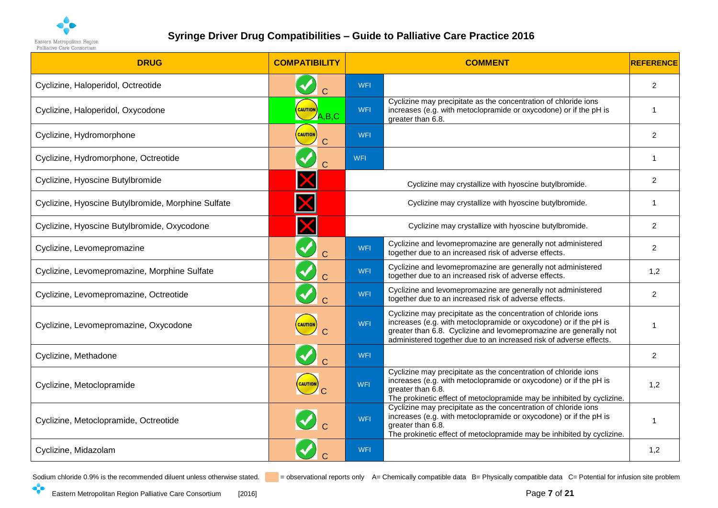

| <b>DRUG</b>                                        | <b>COMPATIBILITY</b>                        |            | <b>COMMENT</b>                                                                                                                                                                                                                                                                  | <b>REFERENCE</b> |
|----------------------------------------------------|---------------------------------------------|------------|---------------------------------------------------------------------------------------------------------------------------------------------------------------------------------------------------------------------------------------------------------------------------------|------------------|
| Cyclizine, Haloperidol, Octreotide                 |                                             | <b>WFI</b> |                                                                                                                                                                                                                                                                                 | $\overline{2}$   |
| Cyclizine, Haloperidol, Oxycodone                  | <b>CAUTION</b><br>$\overline{\angle}$ A,B,C | WFI        | Cyclizine may precipitate as the concentration of chloride ions<br>increases (e.g. with metoclopramide or oxycodone) or if the pH is<br>greater than 6.8.                                                                                                                       | $\overline{1}$   |
| Cyclizine, Hydromorphone                           | <b>CAUTION</b>                              | <b>WFI</b> |                                                                                                                                                                                                                                                                                 | $\overline{2}$   |
| Cyclizine, Hydromorphone, Octreotide               |                                             | WFI        |                                                                                                                                                                                                                                                                                 | 1                |
| Cyclizine, Hyoscine Butylbromide                   |                                             |            | Cyclizine may crystallize with hyoscine butylbromide.                                                                                                                                                                                                                           | 2                |
| Cyclizine, Hyoscine Butylbromide, Morphine Sulfate |                                             |            | Cyclizine may crystallize with hyoscine butylbromide.                                                                                                                                                                                                                           | 1                |
| Cyclizine, Hyoscine Butylbromide, Oxycodone        |                                             |            | Cyclizine may crystallize with hyoscine butylbromide.                                                                                                                                                                                                                           | $\overline{c}$   |
| Cyclizine, Levomepromazine                         | $\blacktriangledown$                        | <b>WFI</b> | Cyclizine and levomepromazine are generally not administered<br>together due to an increased risk of adverse effects.                                                                                                                                                           | $\overline{2}$   |
| Cyclizine, Levomepromazine, Morphine Sulfate       |                                             | <b>WFI</b> | Cyclizine and levomepromazine are generally not administered<br>together due to an increased risk of adverse effects.                                                                                                                                                           | 1,2              |
| Cyclizine, Levomepromazine, Octreotide             |                                             | <b>WFI</b> | Cyclizine and levomepromazine are generally not administered<br>together due to an increased risk of adverse effects.                                                                                                                                                           | $\overline{2}$   |
| Cyclizine, Levomepromazine, Oxycodone              | <b>CAUTION</b>                              | <b>WFI</b> | Cyclizine may precipitate as the concentration of chloride ions<br>increases (e.g. with metoclopramide or oxycodone) or if the pH is<br>greater than 6.8. Cyclizine and levomepromazine are generally not<br>administered together due to an increased risk of adverse effects. |                  |
| Cyclizine, Methadone                               |                                             | <b>WFI</b> |                                                                                                                                                                                                                                                                                 | $\overline{2}$   |
| Cyclizine, Metoclopramide                          | <b>CAUTION</b>                              | <b>WFI</b> | Cyclizine may precipitate as the concentration of chloride ions<br>increases (e.g. with metoclopramide or oxycodone) or if the pH is<br>greater than 6.8.<br>The prokinetic effect of metoclopramide may be inhibited by cyclizine.                                             | 1,2              |
| Cyclizine, Metoclopramide, Octreotide              |                                             | <b>WFI</b> | Cyclizine may precipitate as the concentration of chloride ions<br>increases (e.g. with metoclopramide or oxycodone) or if the pH is<br>greater than 6.8.<br>The prokinetic effect of metoclopramide may be inhibited by cyclizine.                                             | $\overline{1}$   |
| Cyclizine, Midazolam                               |                                             | <b>WFI</b> |                                                                                                                                                                                                                                                                                 | 1,2              |

 $\cdot$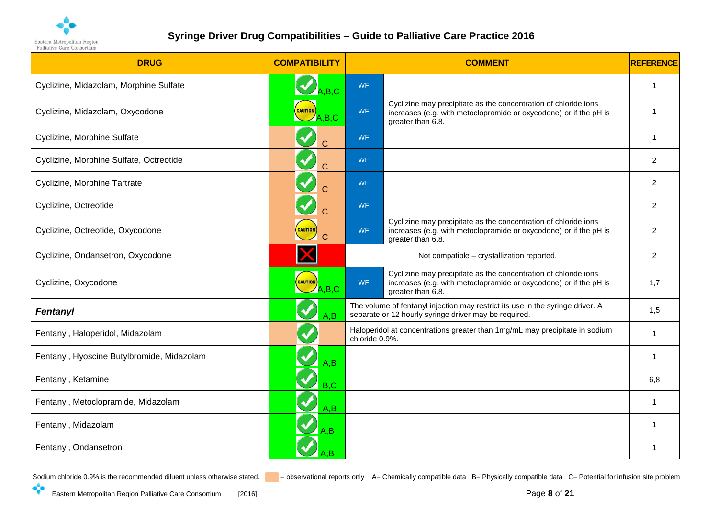

| <b>DRUG</b>                                | <b>COMPATIBILITY</b>                            |                | <b>COMMENT</b>                                                                                                                                            | <b>REFERENCE</b> |
|--------------------------------------------|-------------------------------------------------|----------------|-----------------------------------------------------------------------------------------------------------------------------------------------------------|------------------|
| Cyclizine, Midazolam, Morphine Sulfate     | $\mathbf{A}_{\mathsf{A},\mathsf{B},\mathsf{C}}$ | WFI            |                                                                                                                                                           | $\overline{1}$   |
| Cyclizine, Midazolam, Oxycodone            | <b>CAUTION</b><br>A.B.C                         | WFI            | Cyclizine may precipitate as the concentration of chloride ions<br>increases (e.g. with metoclopramide or oxycodone) or if the pH is<br>greater than 6.8. | -1               |
| Cyclizine, Morphine Sulfate                |                                                 | <b>WFI</b>     |                                                                                                                                                           | -1               |
| Cyclizine, Morphine Sulfate, Octreotide    | $\overline{C}$                                  | <b>WFI</b>     |                                                                                                                                                           | 2                |
| Cyclizine, Morphine Tartrate               | $\blacklozenge$<br>$\overline{C}$               | <b>WFI</b>     |                                                                                                                                                           | $\overline{c}$   |
| Cyclizine, Octreotide                      |                                                 | <b>WFI</b>     |                                                                                                                                                           | 2                |
| Cyclizine, Octreotide, Oxycodone           | <b>CAUTION</b>                                  | WFI            | Cyclizine may precipitate as the concentration of chloride ions<br>increases (e.g. with metoclopramide or oxycodone) or if the pH is<br>greater than 6.8. | $\overline{2}$   |
| Cyclizine, Ondansetron, Oxycodone          |                                                 |                | Not compatible - crystallization reported.                                                                                                                | 2                |
| Cyclizine, Oxycodone                       | <b>CAUTION</b><br>$\bigcup$ A,B,C               | WFI            | Cyclizine may precipitate as the concentration of chloride ions<br>increases (e.g. with metoclopramide or oxycodone) or if the pH is<br>greater than 6.8. | 1,7              |
| Fentanyl                                   | A.B                                             |                | The volume of fentanyl injection may restrict its use in the syringe driver. A<br>separate or 12 hourly syringe driver may be required.                   | 1,5              |
| Fentanyl, Haloperidol, Midazolam           |                                                 | chloride 0.9%. | Haloperidol at concentrations greater than 1mg/mL may precipitate in sodium                                                                               | $\overline{1}$   |
| Fentanyl, Hyoscine Butylbromide, Midazolam | A,B                                             |                |                                                                                                                                                           | $\overline{1}$   |
| Fentanyl, Ketamine                         | $\blacklozenge$<br>B, C                         |                |                                                                                                                                                           | 6,8              |
| Fentanyl, Metoclopramide, Midazolam        | $\blacktriangledown$<br>A,B                     |                |                                                                                                                                                           | $\overline{1}$   |
| Fentanyl, Midazolam                        | A.B                                             |                |                                                                                                                                                           | -1               |
| Fentanyl, Ondansetron                      |                                                 |                |                                                                                                                                                           | -1               |

<span id="page-7-0"></span> $\cdot$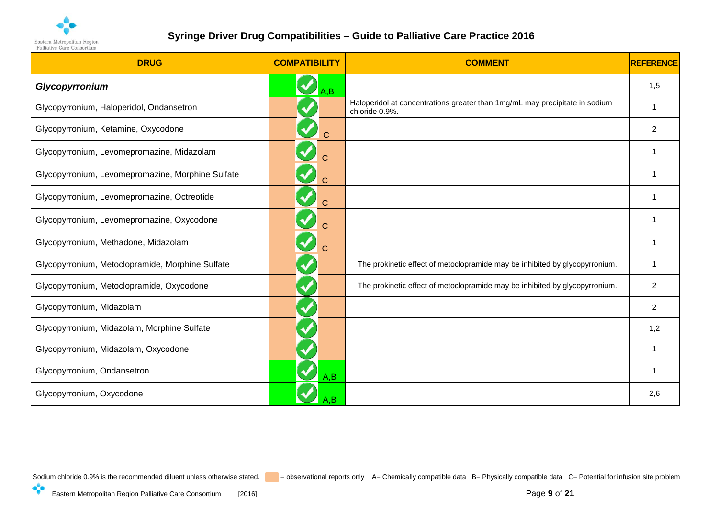

<span id="page-8-0"></span>

| <b>DRUG</b>                                       | <b>COMPATIBILITY</b>                   | <b>COMMENT</b>                                                                                | REFERENCE      |
|---------------------------------------------------|----------------------------------------|-----------------------------------------------------------------------------------------------|----------------|
| Glycopyrronium                                    | A,B                                    |                                                                                               | 1,5            |
| Glycopyrronium, Haloperidol, Ondansetron          |                                        | Haloperidol at concentrations greater than 1mg/mL may precipitate in sodium<br>chloride 0.9%. | 1              |
| Glycopyrronium, Ketamine, Oxycodone               | $\blacklozenge$<br>$\overline{C}$      |                                                                                               | $\overline{2}$ |
| Glycopyrronium, Levomepromazine, Midazolam        | Ć                                      |                                                                                               |                |
| Glycopyrronium, Levomepromazine, Morphine Sulfate | $\blacktriangledown$<br>$\overline{C}$ |                                                                                               |                |
| Glycopyrronium, Levomepromazine, Octreotide       | $\overline{C}$                         |                                                                                               | 1              |
| Glycopyrronium, Levomepromazine, Oxycodone        | $\blacktriangledown$<br>$\overline{C}$ |                                                                                               |                |
| Glycopyrronium, Methadone, Midazolam              | <b>V</b>                               |                                                                                               |                |
| Glycopyrronium, Metoclopramide, Morphine Sulfate  |                                        | The prokinetic effect of metoclopramide may be inhibited by glycopyrronium.                   | 1              |
| Glycopyrronium, Metoclopramide, Oxycodone         | $\blacklozenge$                        | The prokinetic effect of metoclopramide may be inhibited by glycopyrronium.                   | $\overline{2}$ |
| Glycopyrronium, Midazolam                         | $\blacklozenge$                        |                                                                                               | $\overline{2}$ |
| Glycopyrronium, Midazolam, Morphine Sulfate       |                                        |                                                                                               | 1,2            |
| Glycopyrronium, Midazolam, Oxycodone              |                                        |                                                                                               | 1              |
| Glycopyrronium, Ondansetron                       | A.B                                    |                                                                                               | 1              |
| Glycopyrronium, Oxycodone                         |                                        |                                                                                               | 2,6            |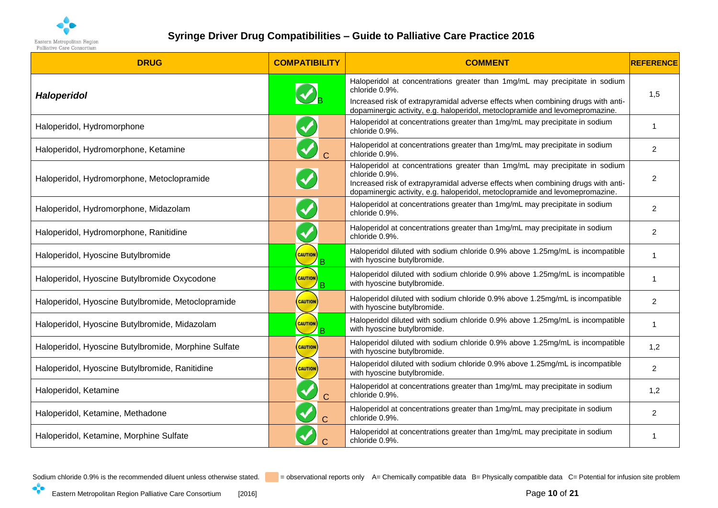

| <b>DRUG</b>                                          | <b>COMPATIBILITY</b>                  | <b>COMMENT</b>                                                                                                                                                                                                                                                    | <b>REFERENCE</b> |
|------------------------------------------------------|---------------------------------------|-------------------------------------------------------------------------------------------------------------------------------------------------------------------------------------------------------------------------------------------------------------------|------------------|
| <b>Haloperidol</b>                                   | $\mathbf{v}_{\mathbf{B}}$             | Haloperidol at concentrations greater than 1mg/mL may precipitate in sodium<br>chloride 0.9%.<br>Increased risk of extrapyramidal adverse effects when combining drugs with anti-<br>dopaminergic activity, e.g. haloperidol, metoclopramide and levomepromazine. | 1,5              |
| Haloperidol, Hydromorphone                           |                                       | Haloperidol at concentrations greater than 1mg/mL may precipitate in sodium<br>chloride 0.9%.                                                                                                                                                                     | $\mathbf{1}$     |
| Haloperidol, Hydromorphone, Ketamine                 | $\blacklozenge$<br>$\overline{C}$     | Haloperidol at concentrations greater than 1mg/mL may precipitate in sodium<br>chloride 0.9%.                                                                                                                                                                     | $\overline{2}$   |
| Haloperidol, Hydromorphone, Metoclopramide           |                                       | Haloperidol at concentrations greater than 1mg/mL may precipitate in sodium<br>chloride 0.9%.<br>Increased risk of extrapyramidal adverse effects when combining drugs with anti-<br>dopaminergic activity, e.g. haloperidol, metoclopramide and levomepromazine. | $\overline{2}$   |
| Haloperidol, Hydromorphone, Midazolam                |                                       | Haloperidol at concentrations greater than 1mg/mL may precipitate in sodium<br>chloride 0.9%.                                                                                                                                                                     | $\overline{2}$   |
| Haloperidol, Hydromorphone, Ranitidine               | $\blacktriangledown$                  | Haloperidol at concentrations greater than 1mg/mL may precipitate in sodium<br>chloride 0.9%.                                                                                                                                                                     | $\overline{2}$   |
| Haloperidol, Hyoscine Butylbromide                   | <b>CAUTION</b><br><b>B</b>            | Haloperidol diluted with sodium chloride 0.9% above 1.25mg/mL is incompatible<br>with hyoscine butylbromide.                                                                                                                                                      | 1                |
| Haloperidol, Hyoscine Butylbromide Oxycodone         | <b>CAUTION</b><br>$^{\prime}$ B       | Haloperidol diluted with sodium chloride 0.9% above 1.25mg/mL is incompatible<br>with hyoscine butylbromide.                                                                                                                                                      | 1                |
| Haloperidol, Hyoscine Butylbromide, Metoclopramide   | <b>CAUTION</b>                        | Haloperidol diluted with sodium chloride 0.9% above 1.25mg/mL is incompatible<br>with hyoscine butylbromide.                                                                                                                                                      | $\overline{2}$   |
| Haloperidol, Hyoscine Butylbromide, Midazolam        | <b>CAUTION</b><br>$^{\prime}$ B       | Haloperidol diluted with sodium chloride 0.9% above 1.25mg/mL is incompatible<br>with hyoscine butylbromide.                                                                                                                                                      | 1                |
| Haloperidol, Hyoscine Butylbromide, Morphine Sulfate | <b>CAUTION</b>                        | Haloperidol diluted with sodium chloride 0.9% above 1.25mg/mL is incompatible<br>with hyoscine butylbromide.                                                                                                                                                      | 1,2              |
| Haloperidol, Hyoscine Butylbromide, Ranitidine       | <b>CAUTION</b>                        | Haloperidol diluted with sodium chloride 0.9% above 1.25mg/mL is incompatible<br>with hyoscine butylbromide.                                                                                                                                                      | $\overline{2}$   |
| Haloperidol, Ketamine                                | $\blacktriangledown$<br>$\mathcal{C}$ | Haloperidol at concentrations greater than 1mg/mL may precipitate in sodium<br>chloride 0.9%.                                                                                                                                                                     | 1,2              |
| Haloperidol, Ketamine, Methadone                     |                                       | Haloperidol at concentrations greater than 1mg/mL may precipitate in sodium<br>chloride 0.9%.                                                                                                                                                                     | $\overline{2}$   |
| Haloperidol, Ketamine, Morphine Sulfate              |                                       | Haloperidol at concentrations greater than 1mg/mL may precipitate in sodium<br>chloride 0.9%.                                                                                                                                                                     | 1                |

<span id="page-9-0"></span>

 $\cdot$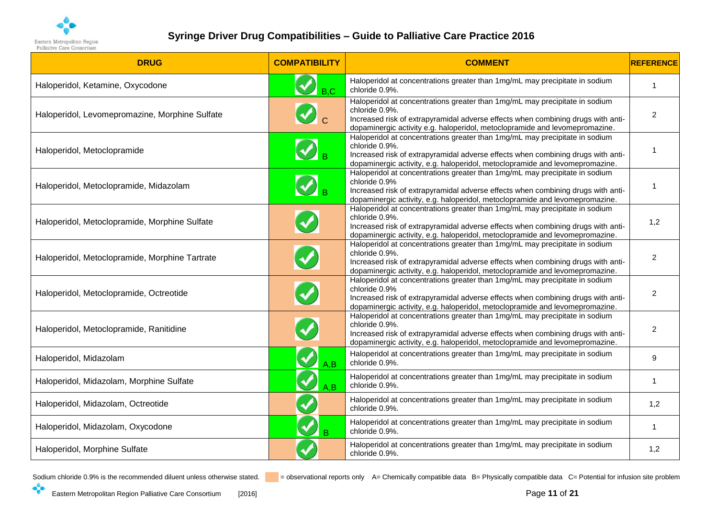

| <b>DRUG</b>                                    | <b>COMPATIBILITY</b>      | <b>COMMENT</b>                                                                                                                                                                                                                                                    | <b>REFERENCE</b> |
|------------------------------------------------|---------------------------|-------------------------------------------------------------------------------------------------------------------------------------------------------------------------------------------------------------------------------------------------------------------|------------------|
| Haloperidol, Ketamine, Oxycodone               | B.C                       | Haloperidol at concentrations greater than 1mg/mL may precipitate in sodium<br>chloride 0.9%.                                                                                                                                                                     | $\mathbf{1}$     |
| Haloperidol, Levomepromazine, Morphine Sulfate | $\bigcirc$ c              | Haloperidol at concentrations greater than 1mg/mL may precipitate in sodium<br>chloride 0.9%.<br>Increased risk of extrapyramidal adverse effects when combining drugs with anti-<br>dopaminergic activity e.g. haloperidol, metoclopramide and levomepromazine.  | $\overline{2}$   |
| Haloperidol, Metoclopramide                    |                           | Haloperidol at concentrations greater than 1mg/mL may precipitate in sodium<br>chloride 0.9%.<br>Increased risk of extrapyramidal adverse effects when combining drugs with anti-<br>dopaminergic activity, e.g. haloperidol, metoclopramide and levomepromazine. | $\overline{1}$   |
| Haloperidol, Metoclopramide, Midazolam         | $\bigotimes_{\mathsf{B}}$ | Haloperidol at concentrations greater than 1mg/mL may precipitate in sodium<br>chloride 0.9%<br>Increased risk of extrapyramidal adverse effects when combining drugs with anti-<br>dopaminergic activity, e.g. haloperidol, metoclopramide and levomepromazine.  | 1                |
| Haloperidol, Metoclopramide, Morphine Sulfate  |                           | Haloperidol at concentrations greater than 1mg/mL may precipitate in sodium<br>chloride 0.9%.<br>Increased risk of extrapyramidal adverse effects when combining drugs with anti-<br>dopaminergic activity, e.g. haloperidol, metoclopramide and levomepromazine. | 1,2              |
| Haloperidol, Metoclopramide, Morphine Tartrate |                           | Haloperidol at concentrations greater than 1mg/mL may precipitate in sodium<br>chloride 0.9%.<br>Increased risk of extrapyramidal adverse effects when combining drugs with anti-<br>dopaminergic activity, e.g. haloperidol, metoclopramide and levomepromazine. | $\overline{2}$   |
| Haloperidol, Metoclopramide, Octreotide        |                           | Haloperidol at concentrations greater than 1mg/mL may precipitate in sodium<br>chloride 0.9%<br>Increased risk of extrapyramidal adverse effects when combining drugs with anti-<br>dopaminergic activity, e.g. haloperidol, metoclopramide and levomepromazine.  | $\overline{2}$   |
| Haloperidol, Metoclopramide, Ranitidine        |                           | Haloperidol at concentrations greater than 1mg/mL may precipitate in sodium<br>chloride 0.9%.<br>Increased risk of extrapyramidal adverse effects when combining drugs with anti-<br>dopaminergic activity, e.g. haloperidol, metoclopramide and levomepromazine. | $\overline{2}$   |
| Haloperidol, Midazolam                         | A, B                      | Haloperidol at concentrations greater than 1mg/mL may precipitate in sodium<br>chloride 0.9%.                                                                                                                                                                     | 9                |
| Haloperidol, Midazolam, Morphine Sulfate       | $\blacklozenge$<br>A, B   | Haloperidol at concentrations greater than 1mg/mL may precipitate in sodium<br>chloride 0.9%.                                                                                                                                                                     | $\mathbf{1}$     |
| Haloperidol, Midazolam, Octreotide             |                           | Haloperidol at concentrations greater than 1mg/mL may precipitate in sodium<br>chloride 0.9%.                                                                                                                                                                     | 1,2              |
| Haloperidol, Midazolam, Oxycodone              | B                         | Haloperidol at concentrations greater than 1mg/mL may precipitate in sodium<br>chloride 0.9%.                                                                                                                                                                     | 1                |
| Haloperidol, Morphine Sulfate                  |                           | Haloperidol at concentrations greater than 1mg/mL may precipitate in sodium<br>chloride 0.9%.                                                                                                                                                                     | 1,2              |

 $\cdot$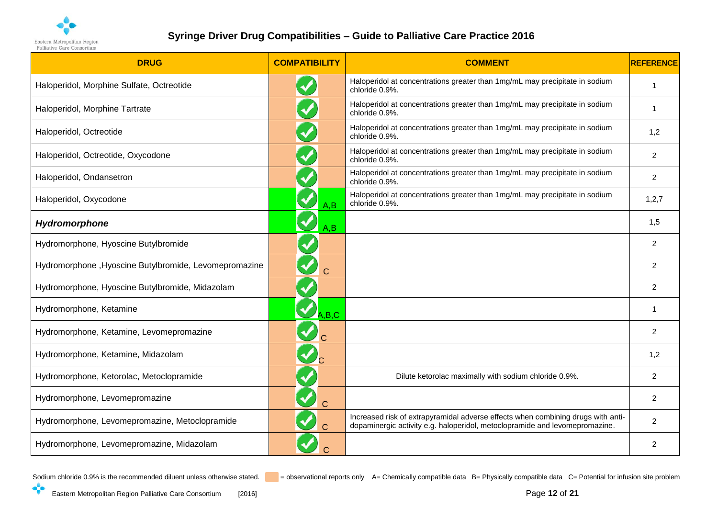

| <b>DRUG</b>                                           | <b>COMPATIBILITY</b>    | <b>COMMENT</b>                                                                                                                                                  | <b>REFERENCE</b> |
|-------------------------------------------------------|-------------------------|-----------------------------------------------------------------------------------------------------------------------------------------------------------------|------------------|
| Haloperidol, Morphine Sulfate, Octreotide             |                         | Haloperidol at concentrations greater than 1mg/mL may precipitate in sodium<br>chloride 0.9%.                                                                   | 1                |
| Haloperidol, Morphine Tartrate                        |                         | Haloperidol at concentrations greater than 1mg/mL may precipitate in sodium<br>chloride 0.9%.                                                                   | 1                |
| Haloperidol, Octreotide                               |                         | Haloperidol at concentrations greater than 1mg/mL may precipitate in sodium<br>chloride 0.9%.                                                                   | 1,2              |
| Haloperidol, Octreotide, Oxycodone                    |                         | Haloperidol at concentrations greater than 1mg/mL may precipitate in sodium<br>chloride 0.9%.                                                                   | $\overline{2}$   |
| Haloperidol, Ondansetron                              |                         | Haloperidol at concentrations greater than 1mg/mL may precipitate in sodium<br>chloride 0.9%.                                                                   | $\overline{2}$   |
| Haloperidol, Oxycodone                                | A, B                    | Haloperidol at concentrations greater than 1mg/mL may precipitate in sodium<br>chloride 0.9%.                                                                   | 1, 2, 7          |
| Hydromorphone                                         | $\blacklozenge$<br>A, B |                                                                                                                                                                 | 1,5              |
| Hydromorphone, Hyoscine Butylbromide                  |                         |                                                                                                                                                                 | $\overline{2}$   |
| Hydromorphone, Hyoscine Butylbromide, Levomepromazine | $\overline{C}$          |                                                                                                                                                                 | $\overline{2}$   |
| Hydromorphone, Hyoscine Butylbromide, Midazolam       |                         |                                                                                                                                                                 | $\overline{2}$   |
| Hydromorphone, Ketamine                               | A,B,C                   |                                                                                                                                                                 | 1                |
| Hydromorphone, Ketamine, Levomepromazine              | $\blacklozenge$         |                                                                                                                                                                 | $\overline{2}$   |
| Hydromorphone, Ketamine, Midazolam                    | $\mathbf{v}_{\text{c}}$ |                                                                                                                                                                 | 1,2              |
| Hydromorphone, Ketorolac, Metoclopramide              |                         | Dilute ketorolac maximally with sodium chloride 0.9%.                                                                                                           | $\overline{2}$   |
| Hydromorphone, Levomepromazine                        |                         |                                                                                                                                                                 | $\overline{2}$   |
| Hydromorphone, Levomepromazine, Metoclopramide        |                         | Increased risk of extrapyramidal adverse effects when combining drugs with anti-<br>dopaminergic activity e.g. haloperidol, metoclopramide and levomepromazine. | $\overline{2}$   |
| Hydromorphone, Levomepromazine, Midazolam             |                         |                                                                                                                                                                 | $\overline{2}$   |

<span id="page-11-0"></span>

 $\cdot$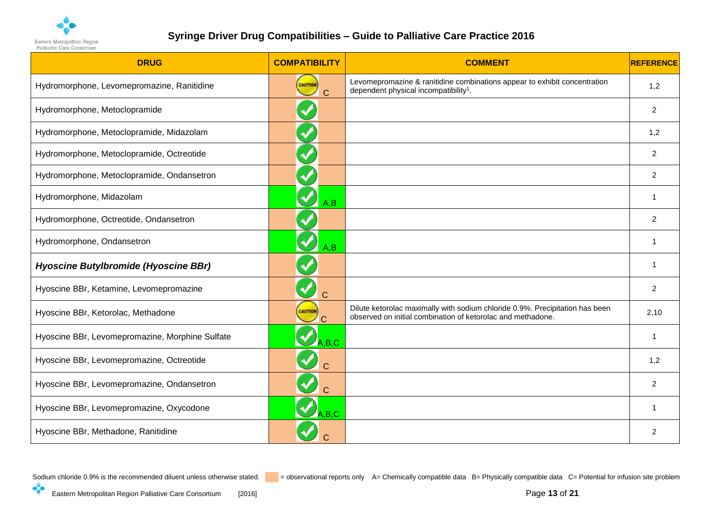

| <b>DRUG</b>                                     | <b>COMPATIBILITY</b>                   | <b>COMMENT</b>                                                                                                                              | <b>REFERENCE</b> |
|-------------------------------------------------|----------------------------------------|---------------------------------------------------------------------------------------------------------------------------------------------|------------------|
| Hydromorphone, Levomepromazine, Ranitidine      | CAUTION<br>$\overline{C}$              | Levomepromazine & ranitidine combinations appear to exhibit concentration<br>dependent physical incompatibility <sup>1</sup> .              | 1,2              |
| Hydromorphone, Metoclopramide                   | $\blacklozenge$                        |                                                                                                                                             | 2                |
| Hydromorphone, Metoclopramide, Midazolam        |                                        |                                                                                                                                             | 1,2              |
| Hydromorphone, Metoclopramide, Octreotide       |                                        |                                                                                                                                             | 2                |
| Hydromorphone, Metoclopramide, Ondansetron      |                                        |                                                                                                                                             | 2                |
| Hydromorphone, Midazolam                        | A, B                                   |                                                                                                                                             | $\overline{1}$   |
| Hydromorphone, Octreotide, Ondansetron          |                                        |                                                                                                                                             | 2                |
| Hydromorphone, Ondansetron                      | $\blacktriangledown$<br>A, B           |                                                                                                                                             | -1               |
| Hyoscine Butylbromide (Hyoscine BBr)            |                                        |                                                                                                                                             | -1               |
| Hyoscine BBr, Ketamine, Levomepromazine         | Ć                                      |                                                                                                                                             | 2                |
| Hyoscine BBr, Ketorolac, Methadone              | CAUTION<br>$\overline{C}$              | Dilute ketorolac maximally with sodium chloride 0.9%. Precipitation has been<br>observed on initial combination of ketorolac and methadone. | 2,10             |
| Hyoscine BBr, Levomepromazine, Morphine Sulfate | A, B, C                                |                                                                                                                                             | $\overline{1}$   |
| Hyoscine BBr, Levomepromazine, Octreotide       | $\blacktriangledown$<br>$\overline{C}$ |                                                                                                                                             | 1,2              |
| Hyoscine BBr, Levomepromazine, Ondansetron      | $\blacktriangledown$<br>$\overline{C}$ |                                                                                                                                             | 2                |
| Hyoscine BBr, Levomepromazine, Oxycodone        | A.B.C                                  |                                                                                                                                             |                  |
| Hyoscine BBr, Methadone, Ranitidine             |                                        |                                                                                                                                             | 2                |

<span id="page-12-0"></span>

 $\cdot$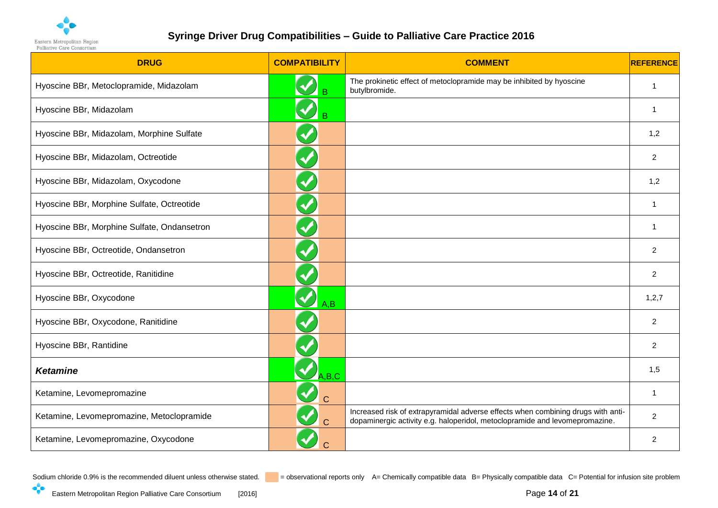

| <b>DRUG</b>                                 | <b>COMPATIBILITY</b>                   | <b>COMMENT</b>                                                                                                                                                  | <b>REFERENCE</b> |
|---------------------------------------------|----------------------------------------|-----------------------------------------------------------------------------------------------------------------------------------------------------------------|------------------|
| Hyoscine BBr, Metoclopramide, Midazolam     |                                        | The prokinetic effect of metoclopramide may be inhibited by hyoscine<br>butylbromide.                                                                           | -1               |
| Hyoscine BBr, Midazolam                     | B                                      |                                                                                                                                                                 | $\overline{1}$   |
| Hyoscine BBr, Midazolam, Morphine Sulfate   | $\blacktriangledown$                   |                                                                                                                                                                 | 1,2              |
| Hyoscine BBr, Midazolam, Octreotide         |                                        |                                                                                                                                                                 | $\overline{2}$   |
| Hyoscine BBr, Midazolam, Oxycodone          | $\blacklozenge$                        |                                                                                                                                                                 | 1,2              |
| Hyoscine BBr, Morphine Sulfate, Octreotide  | $\blacklozenge$                        |                                                                                                                                                                 | $\overline{1}$   |
| Hyoscine BBr, Morphine Sulfate, Ondansetron | $\blacklozenge$                        |                                                                                                                                                                 | -1               |
| Hyoscine BBr, Octreotide, Ondansetron       |                                        |                                                                                                                                                                 | 2                |
| Hyoscine BBr, Octreotide, Ranitidine        |                                        |                                                                                                                                                                 | $\overline{c}$   |
| Hyoscine BBr, Oxycodone                     | A, B                                   |                                                                                                                                                                 | 1,2,7            |
| Hyoscine BBr, Oxycodone, Ranitidine         |                                        |                                                                                                                                                                 | $\overline{2}$   |
| Hyoscine BBr, Rantidine                     |                                        |                                                                                                                                                                 | 2                |
| <b>Ketamine</b>                             | A.B.C                                  |                                                                                                                                                                 | 1,5              |
| Ketamine, Levomepromazine                   | $\blacktriangledown$<br>$\overline{C}$ |                                                                                                                                                                 | $\overline{1}$   |
| Ketamine, Levomepromazine, Metoclopramide   | $\blacktriangledown$<br>$\overline{C}$ | Increased risk of extrapyramidal adverse effects when combining drugs with anti-<br>dopaminergic activity e.g. haloperidol, metoclopramide and levomepromazine. | $\overline{2}$   |
| Ketamine, Levomepromazine, Oxycodone        | $\overline{C}$                         |                                                                                                                                                                 | 2                |

<span id="page-13-0"></span> $\cdot$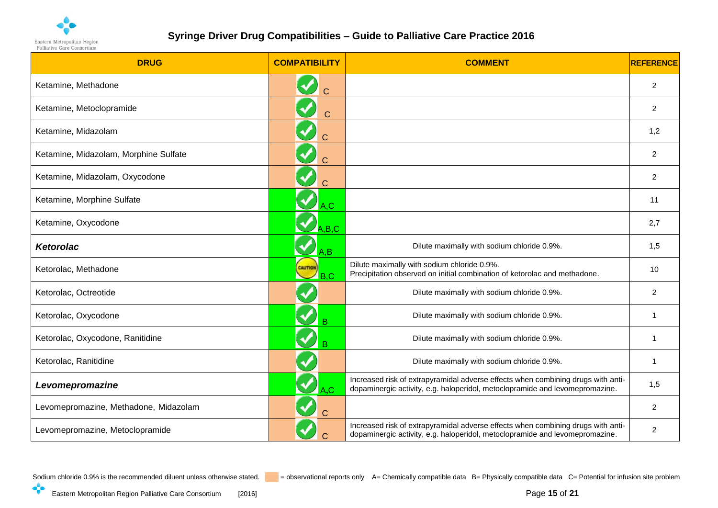

| <b>DRUG</b>                           | <b>COMPATIBILITY</b>                 | <b>COMMENT</b>                                                                                                                                                   | <b>REFERENCE</b> |
|---------------------------------------|--------------------------------------|------------------------------------------------------------------------------------------------------------------------------------------------------------------|------------------|
| Ketamine, Methadone                   | C                                    |                                                                                                                                                                  | 2                |
| Ketamine, Metoclopramide              | $\mathbf C$                          |                                                                                                                                                                  | 2                |
| Ketamine, Midazolam                   | $\mathsf C$                          |                                                                                                                                                                  | 1,2              |
| Ketamine, Midazolam, Morphine Sulfate | $\mathsf{C}$                         |                                                                                                                                                                  | 2                |
| Ketamine, Midazolam, Oxycodone        | Ć                                    |                                                                                                                                                                  | 2                |
| Ketamine, Morphine Sulfate            | $\blacktriangledown$<br>A,C          |                                                                                                                                                                  | 11               |
| Ketamine, Oxycodone                   | $\sqrt{A,B,C}$                       |                                                                                                                                                                  | 2,7              |
| <b>Ketorolac</b>                      | $'A$ , B                             | Dilute maximally with sodium chloride 0.9%.                                                                                                                      | 1,5              |
| Ketorolac, Methadone                  | <b>CAUTION</b><br>$\mathbb{Z}_{B,C}$ | Dilute maximally with sodium chloride 0.9%.<br>Precipitation observed on initial combination of ketorolac and methadone.                                         | 10               |
| Ketorolac, Octreotide                 | $\blacktriangledown$                 | Dilute maximally with sodium chloride 0.9%.                                                                                                                      | 2                |
| Ketorolac, Oxycodone                  | B                                    | Dilute maximally with sodium chloride 0.9%.                                                                                                                      |                  |
| Ketorolac, Oxycodone, Ranitidine      | $\blacktriangledown$<br>B            | Dilute maximally with sodium chloride 0.9%.                                                                                                                      |                  |
| Ketorolac, Ranitidine                 |                                      | Dilute maximally with sodium chloride 0.9%.                                                                                                                      | -1               |
| Levomepromazine                       | A,C                                  | Increased risk of extrapyramidal adverse effects when combining drugs with anti-<br>dopaminergic activity, e.g. haloperidol, metoclopramide and levomepromazine. | 1,5              |
| Levomepromazine, Methadone, Midazolam |                                      |                                                                                                                                                                  | 2                |
| Levomepromazine, Metoclopramide       | C.                                   | Increased risk of extrapyramidal adverse effects when combining drugs with anti-<br>dopaminergic activity, e.g. haloperidol, metoclopramide and levomepromazine. | 2                |

<span id="page-14-0"></span>

<span id="page-14-1"></span> $\cdot$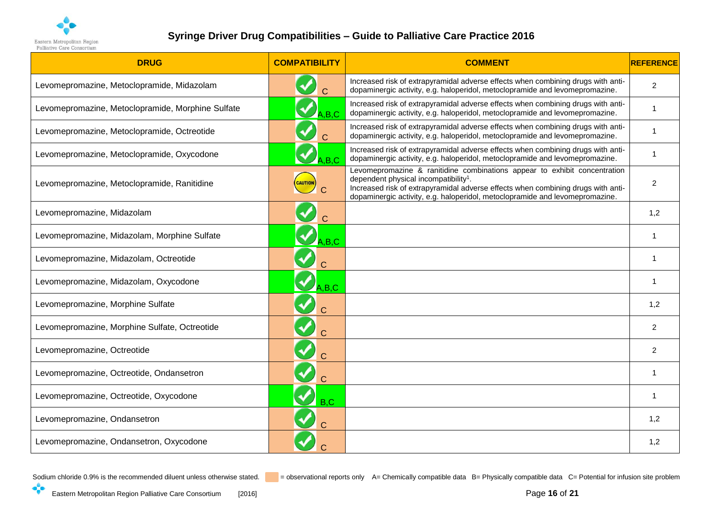

| <b>DRUG</b>                                       | <b>COMPATIBILITY</b> | <b>COMMENT</b>                                                                                                                                                                                                                                                                                     | <b>REFERENCE</b> |
|---------------------------------------------------|----------------------|----------------------------------------------------------------------------------------------------------------------------------------------------------------------------------------------------------------------------------------------------------------------------------------------------|------------------|
| Levomepromazine, Metoclopramide, Midazolam        |                      | Increased risk of extrapyramidal adverse effects when combining drugs with anti-<br>dopaminergic activity, e.g. haloperidol, metoclopramide and levomepromazine.                                                                                                                                   | $\overline{2}$   |
| Levomepromazine, Metoclopramide, Morphine Sulfate | A.B.C                | Increased risk of extrapyramidal adverse effects when combining drugs with anti-<br>dopaminergic activity, e.g. haloperidol, metoclopramide and levomepromazine.                                                                                                                                   | 1                |
| Levomepromazine, Metoclopramide, Octreotide       | $\mathbf C$          | Increased risk of extrapyramidal adverse effects when combining drugs with anti-<br>dopaminergic activity, e.g. haloperidol, metoclopramide and levomepromazine.                                                                                                                                   | -1               |
| Levomepromazine, Metoclopramide, Oxycodone        | A.B.C                | Increased risk of extrapyramidal adverse effects when combining drugs with anti-<br>dopaminergic activity, e.g. haloperidol, metoclopramide and levomepromazine.                                                                                                                                   | 1                |
| Levomepromazine, Metoclopramide, Ranitidine       | <b>CAUTION</b>       | Levomepromazine & ranitidine combinations appear to exhibit concentration<br>dependent physical incompatibility <sup>1</sup> .<br>Increased risk of extrapyramidal adverse effects when combining drugs with anti-<br>dopaminergic activity, e.g. haloperidol, metoclopramide and levomepromazine. | $\overline{2}$   |
| Levomepromazine, Midazolam                        |                      |                                                                                                                                                                                                                                                                                                    | 1,2              |
| Levomepromazine, Midazolam, Morphine Sulfate      | A,B,C                |                                                                                                                                                                                                                                                                                                    |                  |
| Levomepromazine, Midazolam, Octreotide            |                      |                                                                                                                                                                                                                                                                                                    | 1                |
| Levomepromazine, Midazolam, Oxycodone             | A.B.C                |                                                                                                                                                                                                                                                                                                    | -1               |
| Levomepromazine, Morphine Sulfate                 | $\overline{C}$       |                                                                                                                                                                                                                                                                                                    | 1,2              |
| Levomepromazine, Morphine Sulfate, Octreotide     |                      |                                                                                                                                                                                                                                                                                                    | $\overline{2}$   |
| Levomepromazine, Octreotide                       | $\overline{C}$       |                                                                                                                                                                                                                                                                                                    | $\overline{2}$   |
| Levomepromazine, Octreotide, Ondansetron          | $\overline{C}$       |                                                                                                                                                                                                                                                                                                    | -1               |
| Levomepromazine, Octreotide, Oxycodone            | B.C                  |                                                                                                                                                                                                                                                                                                    | 1                |
| Levomepromazine, Ondansetron                      |                      |                                                                                                                                                                                                                                                                                                    | 1,2              |
| Levomepromazine, Ondansetron, Oxycodone           |                      |                                                                                                                                                                                                                                                                                                    | 1,2              |

 $\cdot$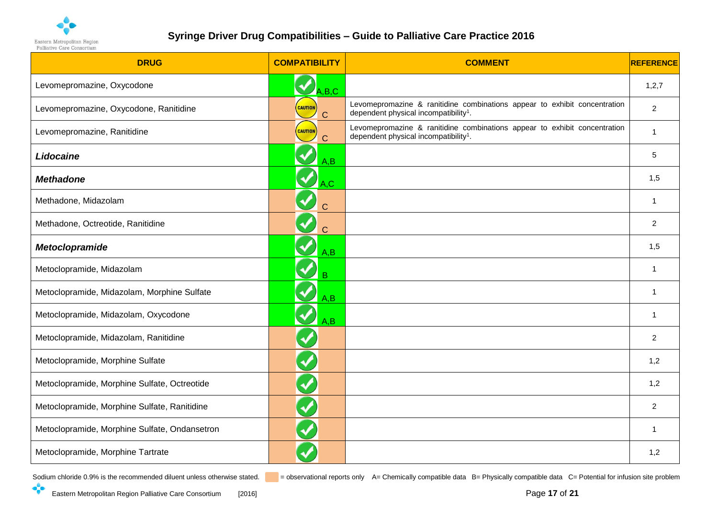

| <b>DRUG</b>                                   | <b>COMPATIBILITY</b>            | <b>COMMENT</b>                                                                                                                 | <b>REFERENCE</b> |
|-----------------------------------------------|---------------------------------|--------------------------------------------------------------------------------------------------------------------------------|------------------|
| Levomepromazine, Oxycodone                    | $\sqrt{A.B.C}$                  |                                                                                                                                | 1,2,7            |
| Levomepromazine, Oxycodone, Ranitidine        | <b>CAUTION</b><br>C             | Levomepromazine & ranitidine combinations appear to exhibit concentration<br>dependent physical incompatibility <sup>1</sup> . | $\overline{2}$   |
| Levomepromazine, Ranitidine                   | <b>CAUTION</b><br>C             | Levomepromazine & ranitidine combinations appear to exhibit concentration<br>dependent physical incompatibility <sup>1</sup> . | -1               |
| Lidocaine                                     | A, B                            |                                                                                                                                | 5                |
| <b>Methadone</b>                              | $\blacktriangledown$<br>A,C     |                                                                                                                                | 1,5              |
| Methadone, Midazolam                          | $\blacklozenge$<br>$\mathsf{C}$ |                                                                                                                                | -1               |
| Methadone, Octreotide, Ranitidine             | $\mathbf C$                     |                                                                                                                                | 2                |
| <b>Metoclopramide</b>                         | A, B                            |                                                                                                                                | 1,5              |
| Metoclopramide, Midazolam                     | $\blacktriangledown$<br>B       |                                                                                                                                | -1               |
| Metoclopramide, Midazolam, Morphine Sulfate   | A, B                            |                                                                                                                                | -1               |
| Metoclopramide, Midazolam, Oxycodone          | A, B                            |                                                                                                                                | $\overline{1}$   |
| Metoclopramide, Midazolam, Ranitidine         | $\blacklozenge$                 |                                                                                                                                | $\overline{2}$   |
| Metoclopramide, Morphine Sulfate              | $\blacklozenge$                 |                                                                                                                                | 1,2              |
| Metoclopramide, Morphine Sulfate, Octreotide  | $\blacktriangledown$            |                                                                                                                                | 1,2              |
| Metoclopramide, Morphine Sulfate, Ranitidine  | $\blacktriangledown$            |                                                                                                                                | 2                |
| Metoclopramide, Morphine Sulfate, Ondansetron |                                 |                                                                                                                                | -1               |
| Metoclopramide, Morphine Tartrate             |                                 |                                                                                                                                | 1,2              |

<span id="page-16-2"></span><span id="page-16-1"></span><span id="page-16-0"></span>

 $\cdot$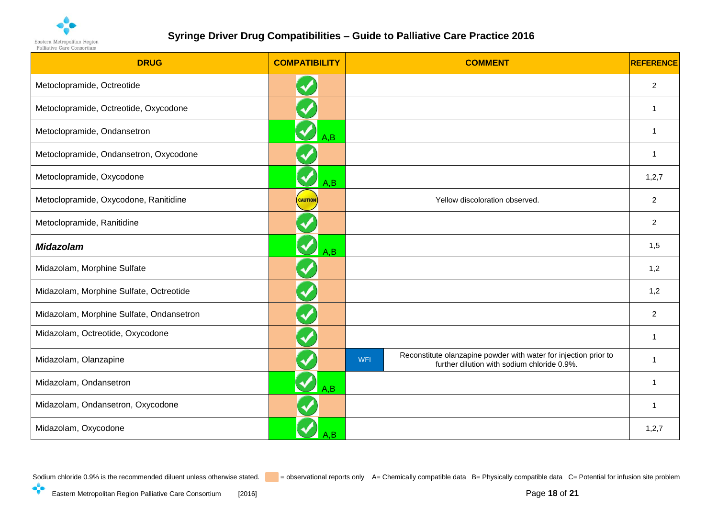

| <b>DRUG</b>                              | <b>COMPATIBILITY</b>        | <b>COMMENT</b>                                                                                                                | <b>REFERENCE</b> |
|------------------------------------------|-----------------------------|-------------------------------------------------------------------------------------------------------------------------------|------------------|
| Metoclopramide, Octreotide               |                             |                                                                                                                               | 2                |
| Metoclopramide, Octreotide, Oxycodone    |                             |                                                                                                                               | $\overline{1}$   |
| Metoclopramide, Ondansetron              | A, B                        |                                                                                                                               |                  |
| Metoclopramide, Ondansetron, Oxycodone   | $\blacktriangledown$        |                                                                                                                               | $\overline{1}$   |
| Metoclopramide, Oxycodone                | $\blacklozenge$<br>A, B     |                                                                                                                               | 1,2,7            |
| Metoclopramide, Oxycodone, Ranitidine    | <b>CAUTION</b>              | Yellow discoloration observed.                                                                                                | $\overline{2}$   |
| Metoclopramide, Ranitidine               |                             |                                                                                                                               | 2                |
| <b>Midazolam</b>                         | $\blacktriangledown$<br>A,B |                                                                                                                               | 1,5              |
| Midazolam, Morphine Sulfate              | $\blacklozenge$             |                                                                                                                               | 1,2              |
| Midazolam, Morphine Sulfate, Octreotide  | $\blacktriangledown$        |                                                                                                                               | 1,2              |
| Midazolam, Morphine Sulfate, Ondansetron |                             |                                                                                                                               | $\overline{2}$   |
| Midazolam, Octreotide, Oxycodone         |                             |                                                                                                                               | $\mathbf 1$      |
| Midazolam, Olanzapine                    |                             | Reconstitute olanzapine powder with water for injection prior to<br><b>WFI</b><br>further dilution with sodium chloride 0.9%. | -1               |
| Midazolam, Ondansetron                   | A, B                        |                                                                                                                               | $\overline{1}$   |
| Midazolam, Ondansetron, Oxycodone        | $\blacklozenge$             |                                                                                                                               | $\mathbf 1$      |
| Midazolam, Oxycodone                     | A.B                         |                                                                                                                               | 1,2,7            |

<span id="page-17-0"></span>

 $\cdot$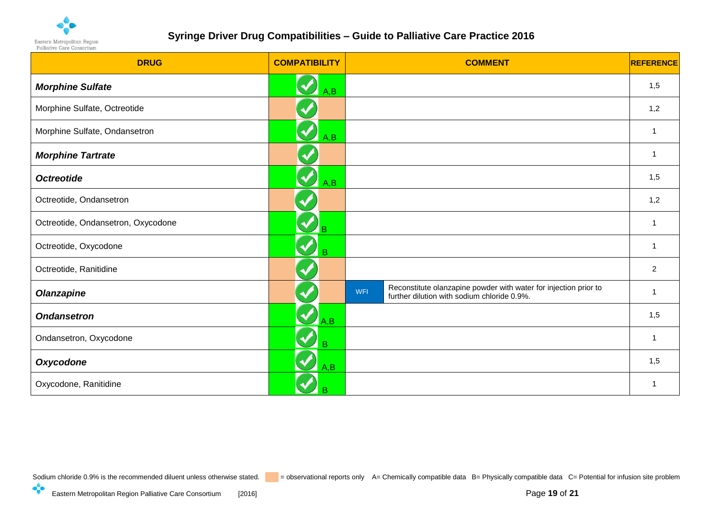

| <b>DRUG</b>                        | <b>COMPATIBILITY</b>        | <b>COMMENT</b>                                                                                                         | <b>REFERENCE</b> |
|------------------------------------|-----------------------------|------------------------------------------------------------------------------------------------------------------------|------------------|
| <b>Morphine Sulfate</b>            | $\bigotimes_{A,B}$          |                                                                                                                        | 1,5              |
| Morphine Sulfate, Octreotide       | <b>V</b>                    |                                                                                                                        | 1,2              |
| Morphine Sulfate, Ondansetron      | V<br>A,B                    |                                                                                                                        |                  |
| <b>Morphine Tartrate</b>           | V                           |                                                                                                                        |                  |
| <b>Octreotide</b>                  | V<br>A,B                    |                                                                                                                        | 1,5              |
| Octreotide, Ondansetron            |                             |                                                                                                                        | 1,2              |
| Octreotide, Ondansetron, Oxycodone | B                           |                                                                                                                        |                  |
| Octreotide, Oxycodone              | $\blacktriangledown$<br>B   |                                                                                                                        |                  |
| Octreotide, Ranitidine             |                             |                                                                                                                        | 2                |
| <b>Olanzapine</b>                  |                             | Reconstitute olanzapine powder with water for injection prior to<br>WFI<br>further dilution with sodium chloride 0.9%. |                  |
| <b>Ondansetron</b>                 | $\blacktriangledown$<br>A,B |                                                                                                                        | 1,5              |
| Ondansetron, Oxycodone             | $\blacktriangledown$<br>B   |                                                                                                                        | -1               |
| <b>Oxycodone</b>                   | A,B                         |                                                                                                                        | 1,5              |
| Oxycodone, Ranitidine              | в                           |                                                                                                                        |                  |

<span id="page-18-5"></span><span id="page-18-4"></span><span id="page-18-3"></span><span id="page-18-2"></span><span id="page-18-1"></span><span id="page-18-0"></span>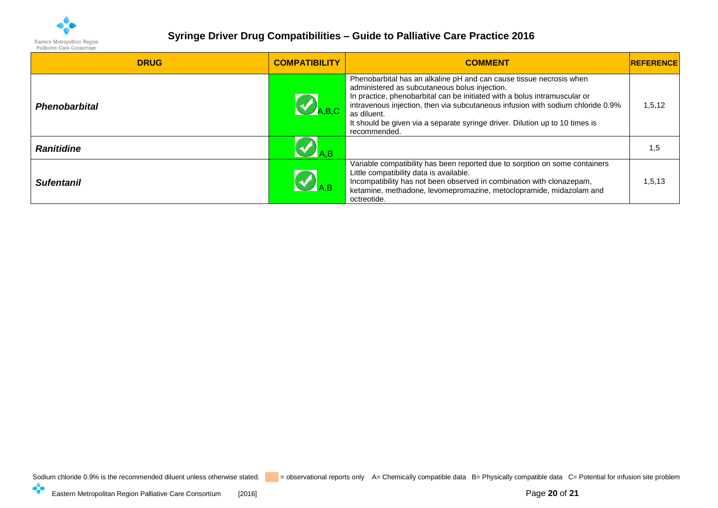

| <b>DRUG</b>          | <b>COMPATIBILITY</b> | <b>COMMENT</b>                                                                                                                                                                                                                                                                                                                                                                                      | <b>REFERENCE</b> |
|----------------------|----------------------|-----------------------------------------------------------------------------------------------------------------------------------------------------------------------------------------------------------------------------------------------------------------------------------------------------------------------------------------------------------------------------------------------------|------------------|
| <b>Phenobarbital</b> |                      | Phenobarbital has an alkaline pH and can cause tissue necrosis when<br>administered as subcutaneous bolus injection.<br>In practice, phenobarbital can be initiated with a bolus intramuscular or<br>intravenous injection, then via subcutaneous infusion with sodium chloride 0.9%<br>as diluent.<br>It should be given via a separate syringe driver. Dilution up to 10 times is<br>recommended. | 1, 5, 12         |
| <b>Ranitidine</b>    |                      |                                                                                                                                                                                                                                                                                                                                                                                                     | 1,5              |
| <b>Sufentanil</b>    |                      | Variable compatibility has been reported due to sorption on some containers<br>Little compatibility data is available.<br>Incompatibility has not been observed in combination with clonazepam,<br>ketamine, methadone, levomepromazine, metoclopramide, midazolam and<br>octreotide.                                                                                                               | 1,5,13           |

<span id="page-19-2"></span><span id="page-19-1"></span><span id="page-19-0"></span> $\cdot$